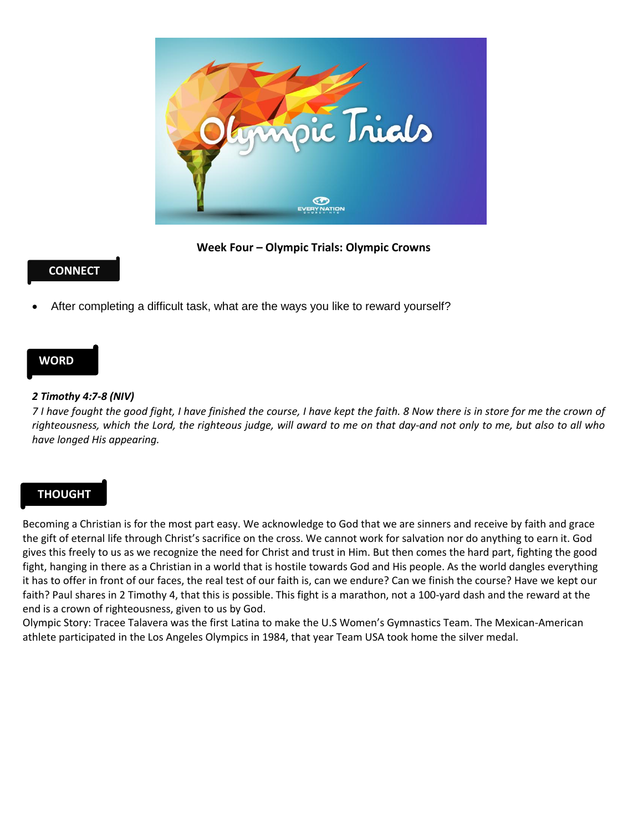

**Week Four – Olympic Trials: Olympic Crowns**

# **CONNECT**

After completing a difficult task, what are the ways you like to reward yourself?

### **WORD**

#### *2 Timothy 4:7-8 (NIV)*

*7 I have fought the good fight, I have finished the course, I have kept the faith. 8 Now there is in store for me the crown of righteousness, which the Lord, the righteous judge, will award to me on that day-and not only to me, but also to all who have longed His appearing.* 

# **THOUGHT**

Becoming a Christian is for the most part easy. We acknowledge to God that we are sinners and receive by faith and grace the gift of eternal life through Christ's sacrifice on the cross. We cannot work for salvation nor do anything to earn it. God gives this freely to us as we recognize the need for Christ and trust in Him. But then comes the hard part, fighting the good fight, hanging in there as a Christian in a world that is hostile towards God and His people. As the world dangles everything it has to offer in front of our faces, the real test of our faith is, can we endure? Can we finish the course? Have we kept our faith? Paul shares in 2 Timothy 4, that this is possible. This fight is a marathon, not a 100-yard dash and the reward at the end is a crown of righteousness, given to us by God.

Olympic Story: Tracee Talavera was the first Latina to make the U.S Women's Gymnastics Team. The Mexican-American athlete participated in the Los Angeles Olympics in 1984, that year Team USA took home the silver medal.